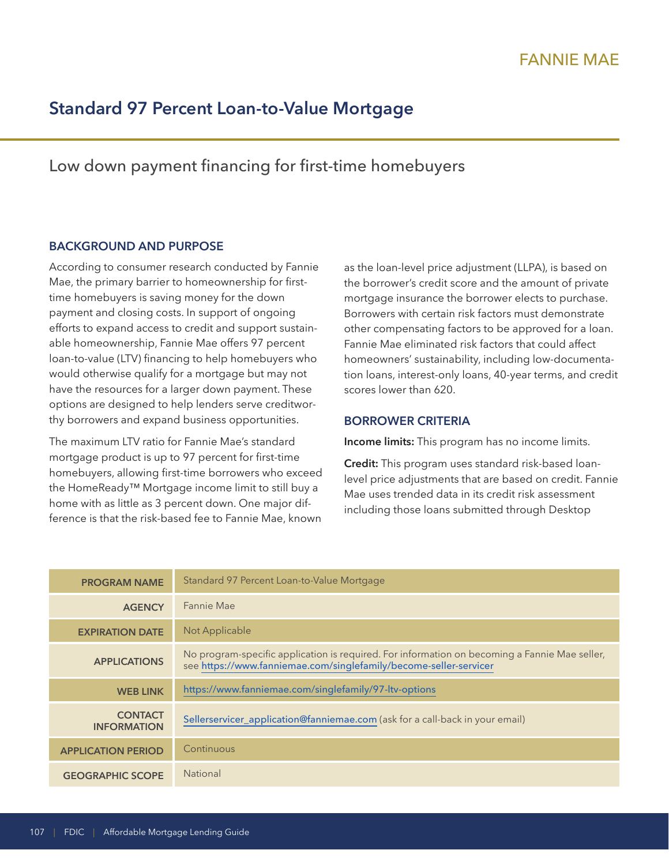# **Standard 97 Percent Loan-to-Value Mortgage**

## Low down payment financing for first-time homebuyers

#### **BACKGROUND AND PURPOSE**

According to consumer research conducted by Fannie Mae, the primary barrier to homeownership for firsttime homebuyers is saving money for the down payment and closing costs. In support of ongoing efforts to expand access to credit and support sustainable homeownership, Fannie Mae offers 97 percent loan-to-value (LTV) financing to help homebuyers who would otherwise qualify for a mortgage but may not have the resources for a larger down payment. These options are designed to help lenders serve creditworthy borrowers and expand business opportunities.

The maximum LTV ratio for Fannie Mae's standard mortgage product is up to 97 percent for first-time homebuyers, allowing first-time borrowers who exceed the HomeReady™ Mortgage income limit to still buy a home with as little as 3 percent down. One major difference is that the risk-based fee to Fannie Mae, known as the loan-level price adjustment (LLPA), is based on the borrower's credit score and the amount of private mortgage insurance the borrower elects to purchase. Borrowers with certain risk factors must demonstrate other compensating factors to be approved for a loan. Fannie Mae eliminated risk factors that could affect homeowners' sustainability, including low-documentation loans, interest-only loans, 40-year terms, and credit scores lower than 620.

#### **BORROWER CRITERIA**

**Income limits:** This program has no income limits.

**Credit:** This program uses standard risk-based loanlevel price adjustments that are based on credit. Fannie Mae uses trended data in its credit risk assessment including those loans submitted through Desktop

| <b>PROGRAM NAME</b>                  | Standard 97 Percent Loan-to-Value Mortgage                                                                                                                         |
|--------------------------------------|--------------------------------------------------------------------------------------------------------------------------------------------------------------------|
| <b>AGENCY</b>                        | Fannie Mae                                                                                                                                                         |
| <b>EXPIRATION DATE</b>               | Not Applicable                                                                                                                                                     |
| <b>APPLICATIONS</b>                  | No program-specific application is required. For information on becoming a Fannie Mae seller,<br>see https://www.fanniemae.com/singlefamily/become-seller-servicer |
| <b>WEB LINK</b>                      | https://www.fanniemae.com/singlefamily/97-ltv-options                                                                                                              |
| <b>CONTACT</b><br><b>INFORMATION</b> | Sellerservicer_application@fanniemae.com (ask for a call-back in your email)                                                                                       |
| <b>APPLICATION PERIOD</b>            | Continuous                                                                                                                                                         |
| <b>GEOGRAPHIC SCOPE</b>              | <b>National</b>                                                                                                                                                    |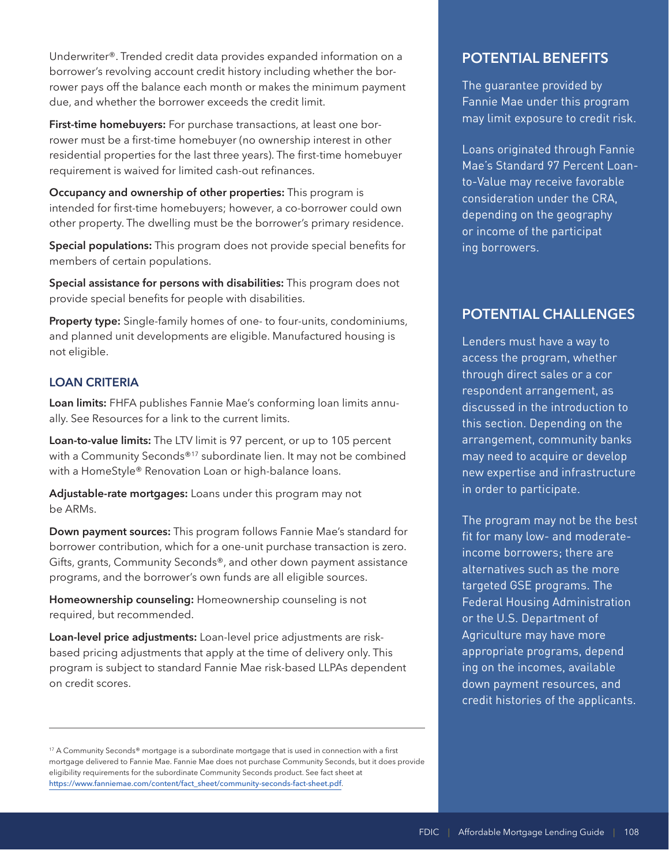Underwriter®. Trended credit data provides expanded information on a borrower's revolving account credit history including whether the borrower pays off the balance each month or makes the minimum payment due, and whether the borrower exceeds the credit limit.

**First-time homebuyers:** For purchase transactions, at least one borrower must be a first-time homebuyer (no ownership interest in other residential properties for the last three years). The first-time homebuyer requirement is waived for limited cash-out refinances.

**Occupancy and ownership of other properties:** This program is intended for first-time homebuyers; however, a co-borrower could own other property. The dwelling must be the borrower's primary residence.

**Special populations:** This program does not provide special benefits for members of certain populations.

**Special assistance for persons with disabilities:** This program does not provide special benefits for people with disabilities.

**Property type:** Single-family homes of one- to four-units, condominiums, and planned unit developments are eligible. Manufactured housing is not eligible.

#### **LOAN CRITERIA**

**Loan limits:** FHFA publishes Fannie Mae's conforming loan limits annually. See Resources for a link to the current limits.

**Loan-to-value limits:** The LTV limit is 97 percent, or up to 105 percent with a Community Seconds®<sup>17</sup> subordinate lien. It may not be combined with a HomeStyle® Renovation Loan or high-balance loans.

**Adjustable-rate mortgages:** Loans under this program may not be ARMs.

**Down payment sources:** This program follows Fannie Mae's standard for borrower contribution, which for a one-unit purchase transaction is zero. Gifts, grants, Community Seconds®, and other down payment assistance programs, and the borrower's own funds are all eligible sources.

**Homeownership counseling:** Homeownership counseling is not required, but recommended.

**Loan-level price adjustments:** Loan-level price adjustments are riskbased pricing adjustments that apply at the time of delivery only. This program is subject to standard Fannie Mae risk-based LLPAs dependent on credit scores.

### **POTENTIAL BENEFITS**

The guarantee provided by Fannie Mae under this program may limit exposure to credit risk.

or income of the participat<br>ing borrowers. Loans originated through Fannie Mae's Standard 97 Percent Loanto-Value may receive favorable consideration under the CRA, depending on the geography

## **POTENTIAL CHALLENGES**

through direct sales or a cor Lenders must have a way to access the program, whether respondent arrangement, as discussed in the introduction to this section. Depending on the arrangement, community banks may need to acquire or develop new expertise and infrastructure in order to participate.

- appropriate programs, depend ing on the incomes, available The program may not be the best fit for many low- and moderateincome borrowers; there are alternatives such as the more targeted GSE programs. The Federal Housing Administration or the U.S. Department of Agriculture may have more down payment resources, and credit histories of the applicants.

<sup>17</sup> A Community Seconds® mortgage is a subordinate mortgage that is used in connection with a first mortgage delivered to Fannie Mae. Fannie Mae does not purchase Community Seconds, but it does provide eligibility requirements for the subordinate Community Seconds product. See fact sheet at [https://www.fanniemae.com/content/fact\\_sheet/community-seconds-fact-sheet.pdf](https://www.fanniemae.com/content/fact_sheet/community-seconds-fact-sheet.pdf).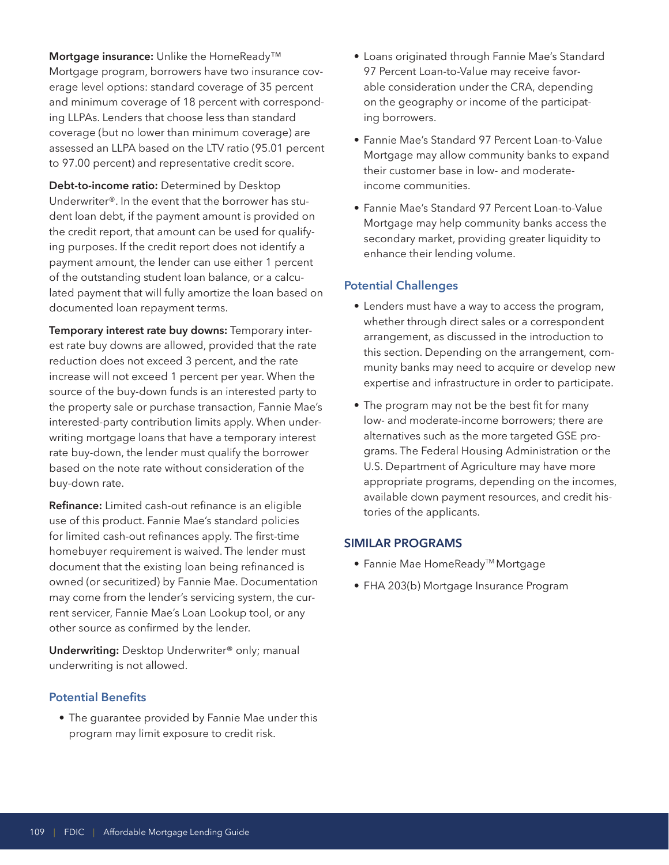**Mortgage insurance:** Unlike the HomeReady™ Mortgage program, borrowers have two insurance coverage level options: standard coverage of 35 percent and minimum coverage of 18 percent with corresponding LLPAs. Lenders that choose less than standard coverage (but no lower than minimum coverage) are assessed an LLPA based on the LTV ratio (95.01 percent to 97.00 percent) and representative credit score.

**Debt-to-income ratio:** Determined by Desktop Underwriter®. In the event that the borrower has student loan debt, if the payment amount is provided on the credit report, that amount can be used for qualifying purposes. If the credit report does not identify a payment amount, the lender can use either 1 percent of the outstanding student loan balance, or a calculated payment that will fully amortize the loan based on documented loan repayment terms.

**Temporary interest rate buy downs:** Temporary interest rate buy downs are allowed, provided that the rate reduction does not exceed 3 percent, and the rate increase will not exceed 1 percent per year. When the source of the buy-down funds is an interested party to the property sale or purchase transaction, Fannie Mae's interested-party contribution limits apply. When underwriting mortgage loans that have a temporary interest rate buy-down, the lender must qualify the borrower based on the note rate without consideration of the buy-down rate.

**Refinance:** Limited cash-out refinance is an eligible use of this product. Fannie Mae's standard policies for limited cash-out refinances apply. The first-time homebuyer requirement is waived. The lender must document that the existing loan being refinanced is owned (or securitized) by Fannie Mae. Documentation may come from the lender's servicing system, the current servicer, Fannie Mae's Loan Lookup tool, or any other source as confirmed by the lender.

**Underwriting:** Desktop Underwriter® only; manual underwriting is not allowed.

#### **Potential Benefits**

• The guarantee provided by Fannie Mae under this program may limit exposure to credit risk.

- Loans originated through Fannie Mae's Standard 97 Percent Loan-to-Value may receive favorable consideration under the CRA, depending on the geography or income of the participating borrowers.
- Fannie Mae's Standard 97 Percent Loan-to-Value Mortgage may allow community banks to expand their customer base in low- and moderateincome communities.
- Fannie Mae's Standard 97 Percent Loan-to-Value Mortgage may help community banks access the secondary market, providing greater liquidity to enhance their lending volume.

#### **Potential Challenges**

- Lenders must have a way to access the program, whether through direct sales or a correspondent arrangement, as discussed in the introduction to this section. Depending on the arrangement, community banks may need to acquire or develop new expertise and infrastructure in order to participate.
- The program may not be the best fit for many low- and moderate-income borrowers; there are alternatives such as the more targeted GSE programs. The Federal Housing Administration or the U.S. Department of Agriculture may have more appropriate programs, depending on the incomes, available down payment resources, and credit histories of the applicants.

#### **SIMILAR PROGRAMS**

- Fannie Mae HomeReady™ Mortgage
- FHA 203(b) Mortgage Insurance Program